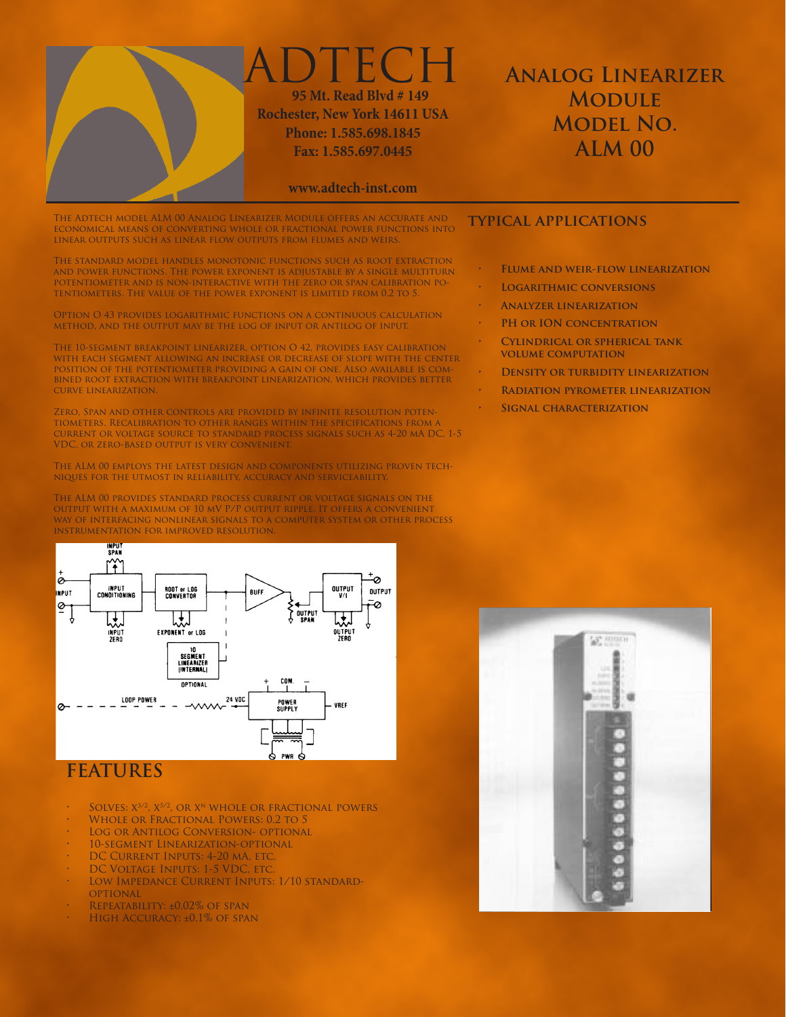

## **Analog Linearizer Module Model No. ALM 00**

**www.adtech-inst.com**

The Adtech model ALM 00 Analog Linearizer Module offers an accurate and **TYPICAL APPLICATIONS**<br>economical means of converting whole or fractional power functions into **TYPICAL APPLICATIONS** linear outputs such as linear flow outputs from flumes and weirs.

The standard model handles monotonic functions such as root extraction and power functions. The power exponent is adjustable by a single multiturn potentiometer and is non-interactive with the zero or span calibration potentiometers. The value of the power exponent is limited from 0.2 to 5.

Option O 43 provides logarithmic functions on a continuous calculation method, and the output may be the log of input or antilog of input.

The 10-segment breakpoint linearizer, option O 42, provides easy calibration with each segment allowing an increase or decrease of slope with the center position of the potentiometer providing a gain of one. Also available is combined root extraction with breakpoint linearization, which provides better curve linearization.

Zero, Span and other controls are provided by infinite resolution potentiometers. Recalibration to other ranges within the specifications from a current or voltage source to standard process signals such as 4-20 mA DC, 1-5 VDC, or zero-based output is very convenient.

The ALM 00 employs the latest design and components utilizing proven techniques for the utmost in reliability, accuracy and serviceability.

The ALM 00 provides standard process current or voltage signals on the output with a maximum of 10 mV P/P output ripple. It offers a convenient way of interfacing nonlinear signals to a computer system or other process instrumentation for improved resolution.



## **FEATURES**

- SOLVES:  $X^{3/2}$ ,  $X^{5/2}$ , OR  $X^N$  WHOLE OR FRACTIONAL POWERS
- WHOLE OR FRACTIONAL POWERS: 0.2 TO 5
- LOG OR ANTILOG CONVERSION- OPTIONAL
- 10-SEGMENT LINEARIZATION-OPTIONAL
- DC CURRENT INPUTS: 4-20 MA, ETC.
- DC VOLTAGE INPUTS: 1-5 VDC, ETC.
- LOW IMPEDANCE CURRENT INPUTS: 1/10 STANDARD-**OPTIONAL**
- REPEATABILITY:  $\pm 0.02\%$  OF SPAN
- HIGH ACCURACY: ±0.1% OF SPAN

- **• Flume and weir-flow linearization**
- **LOGARITHMIC CONVERSIONS**
- **• Analyzer linearization**
- **• PH or ION concentration**
- **CYLINDRICAL OR SPHERICAL TANK volume computation**
- **DENSITY OR TURBIDITY LINEARIZATION**
- **• Radiation pyrometer linearization**
- **SIGNAL CHARACTERIZATION**